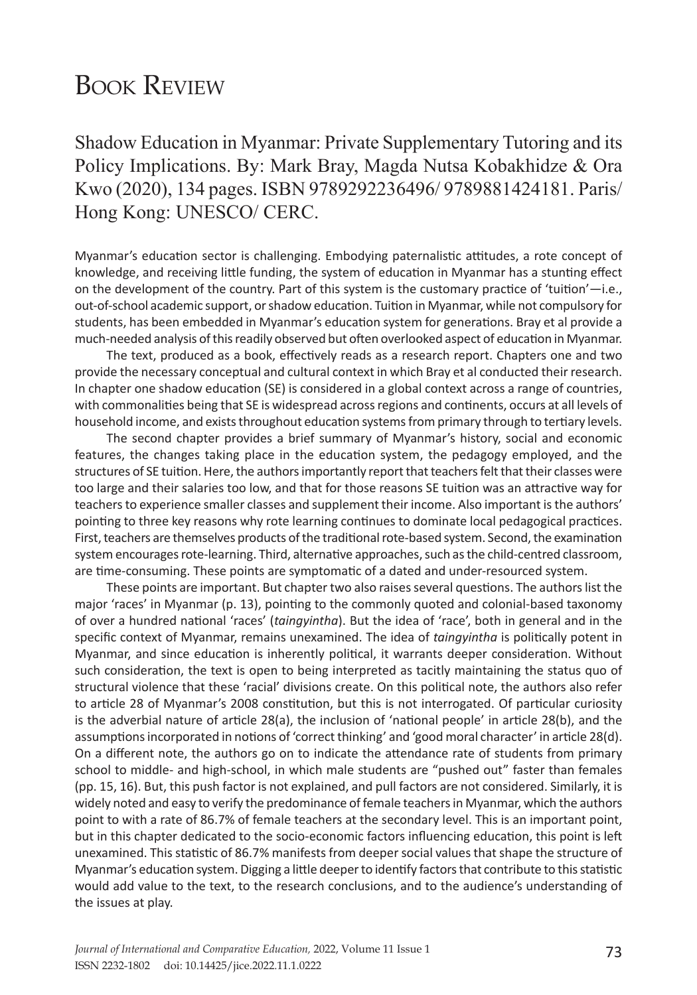## **BOOK REVIEW**

Shadow Education in Myanmar: Private Supplementary Tutoring and its Policy Implications. By: Mark Bray, Magda Nutsa Kobakhidze & Ora Kwo (2020), 134 pages. ISBN 9789292236496/ 9789881424181. Paris/ Hong Kong: UNESCO/ CERC.

Myanmar's education sector is challenging. Embodying paternalistic attitudes, a rote concept of knowledge, and receiving little funding, the system of education in Myanmar has a stunting effect on the development of the country. Part of this system is the customary practice of 'tuition'—i.e., out-of-school academic support, or shadow education. Tuition in Myanmar, while not compulsory for students, has been embedded in Myanmar's education system for generations. Bray et al provide a much-needed analysis of this readily observed but often overlooked aspect of education in Myanmar.

The text, produced as a book, effectively reads as a research report. Chapters one and two provide the necessary conceptual and cultural context in which Bray et al conducted their research. In chapter one shadow education (SE) is considered in a global context across a range of countries, with commonalities being that SE is widespread across regions and continents, occurs at all levels of household income, and exists throughout education systems from primary through to tertiary levels.

The second chapter provides a brief summary of Myanmar's history, social and economic features, the changes taking place in the education system, the pedagogy employed, and the structures of SE tuition. Here, the authors importantly report that teachers felt that their classes were too large and their salaries too low, and that for those reasons SE tuition was an attractive way for teachers to experience smaller classes and supplement their income. Also important is the authors' pointing to three key reasons why rote learning continues to dominate local pedagogical practices. First, teachers are themselves products of the traditional rote-based system. Second, the examination system encourages rote-learning. Third, alternative approaches, such as the child-centred classroom, are time-consuming. These points are symptomatic of a dated and under-resourced system.

These points are important. But chapter two also raises several questions. The authors list the major 'races' in Myanmar (p. 13), pointing to the commonly quoted and colonial-based taxonomy of over a hundred national 'races' (*taingyintha*). But the idea of 'race', both in general and in the specific context of Myanmar, remains unexamined. The idea of *taingyintha* is politically potent in Myanmar, and since education is inherently political, it warrants deeper consideration. Without such consideration, the text is open to being interpreted as tacitly maintaining the status quo of structural violence that these 'racial' divisions create. On this political note, the authors also refer to article 28 of Myanmar's 2008 constitution, but this is not interrogated. Of particular curiosity is the adverbial nature of article 28(a), the inclusion of 'national people' in article 28(b), and the assumptions incorporated in notions of 'correct thinking' and 'good moral character' in article 28(d). On a different note, the authors go on to indicate the attendance rate of students from primary school to middle- and high-school, in which male students are "pushed out" faster than females (pp. 15, 16). But, this push factor is not explained, and pull factors are not considered. Similarly, it is widely noted and easy to verify the predominance of female teachers in Myanmar, which the authors point to with a rate of 86.7% of female teachers at the secondary level. This is an important point, but in this chapter dedicated to the socio-economic factors influencing education, this point is left unexamined. This statistic of 86.7% manifests from deeper social values that shape the structure of Myanmar's education system. Digging a little deeper to identify factors that contribute to this statistic would add value to the text, to the research conclusions, and to the audience's understanding of the issues at play.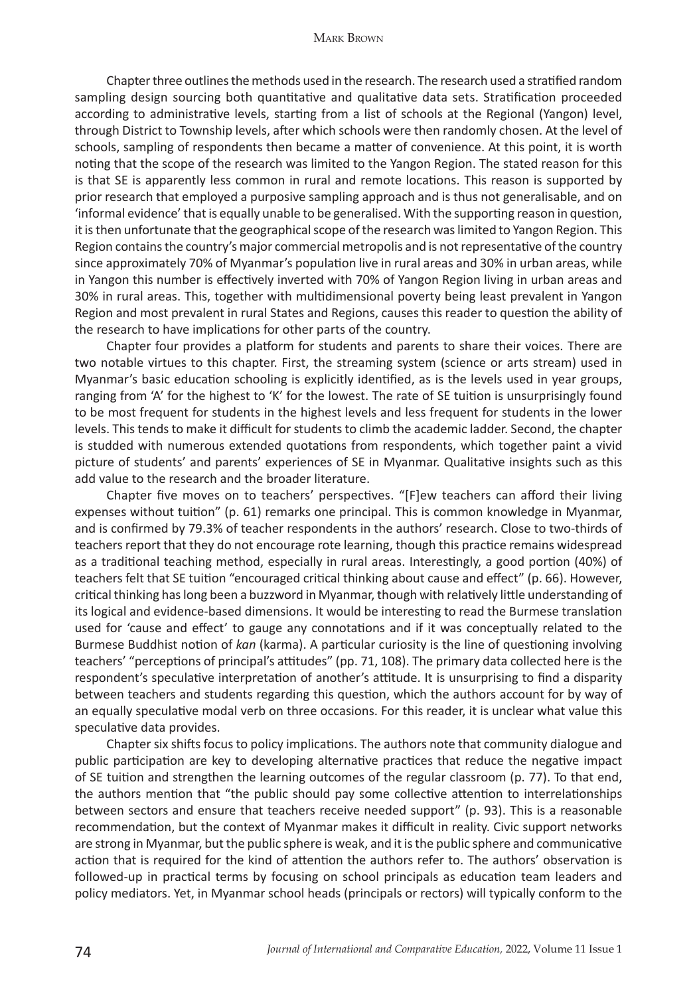Chapter three outlines the methods used in the research. The research used a stratified random sampling design sourcing both quantitative and qualitative data sets. Stratification proceeded according to administrative levels, starting from a list of schools at the Regional (Yangon) level, through District to Township levels, after which schools were then randomly chosen. At the level of schools, sampling of respondents then became a matter of convenience. At this point, it is worth noting that the scope of the research was limited to the Yangon Region. The stated reason for this is that SE is apparently less common in rural and remote locations. This reason is supported by prior research that employed a purposive sampling approach and is thus not generalisable, and on 'informal evidence' that is equally unable to be generalised. With the supporting reason in question, it is then unfortunate that the geographical scope of the research was limited to Yangon Region. This Region contains the country's major commercial metropolis and is not representative of the country since approximately 70% of Myanmar's population live in rural areas and 30% in urban areas, while in Yangon this number is effectively inverted with 70% of Yangon Region living in urban areas and 30% in rural areas. This, together with multidimensional poverty being least prevalent in Yangon Region and most prevalent in rural States and Regions, causes this reader to question the ability of the research to have implications for other parts of the country.

Chapter four provides a platform for students and parents to share their voices. There are two notable virtues to this chapter. First, the streaming system (science or arts stream) used in Myanmar's basic education schooling is explicitly identified, as is the levels used in year groups, ranging from 'A' for the highest to 'K' for the lowest. The rate of SE tuition is unsurprisingly found to be most frequent for students in the highest levels and less frequent for students in the lower levels. This tends to make it difficult for students to climb the academic ladder. Second, the chapter is studded with numerous extended quotations from respondents, which together paint a vivid picture of students' and parents' experiences of SE in Myanmar. Qualitative insights such as this add value to the research and the broader literature.

Chapter five moves on to teachers' perspectives. "[F]ew teachers can afford their living expenses without tuition" (p. 61) remarks one principal. This is common knowledge in Myanmar, and is confirmed by 79.3% of teacher respondents in the authors' research. Close to two-thirds of teachers report that they do not encourage rote learning, though this practice remains widespread as a traditional teaching method, especially in rural areas. Interestingly, a good portion (40%) of teachers felt that SE tuition "encouraged critical thinking about cause and effect" (p. 66). However, critical thinking has long been a buzzword in Myanmar, though with relatively little understanding of its logical and evidence-based dimensions. It would be interesting to read the Burmese translation used for 'cause and effect' to gauge any connotations and if it was conceptually related to the Burmese Buddhist notion of *kan* (karma). A particular curiosity is the line of questioning involving teachers' "perceptions of principal's attitudes" (pp. 71, 108). The primary data collected here is the respondent's speculative interpretation of another's attitude. It is unsurprising to find a disparity between teachers and students regarding this question, which the authors account for by way of an equally speculative modal verb on three occasions. For this reader, it is unclear what value this speculative data provides.

Chapter six shifts focus to policy implications. The authors note that community dialogue and public participation are key to developing alternative practices that reduce the negative impact of SE tuition and strengthen the learning outcomes of the regular classroom (p. 77). To that end, the authors mention that "the public should pay some collective attention to interrelationships between sectors and ensure that teachers receive needed support" (p. 93). This is a reasonable recommendation, but the context of Myanmar makes it difficult in reality. Civic support networks are strong in Myanmar, but the public sphere is weak, and it is the public sphere and communicative action that is required for the kind of attention the authors refer to. The authors' observation is followed-up in practical terms by focusing on school principals as education team leaders and policy mediators. Yet, in Myanmar school heads (principals or rectors) will typically conform to the